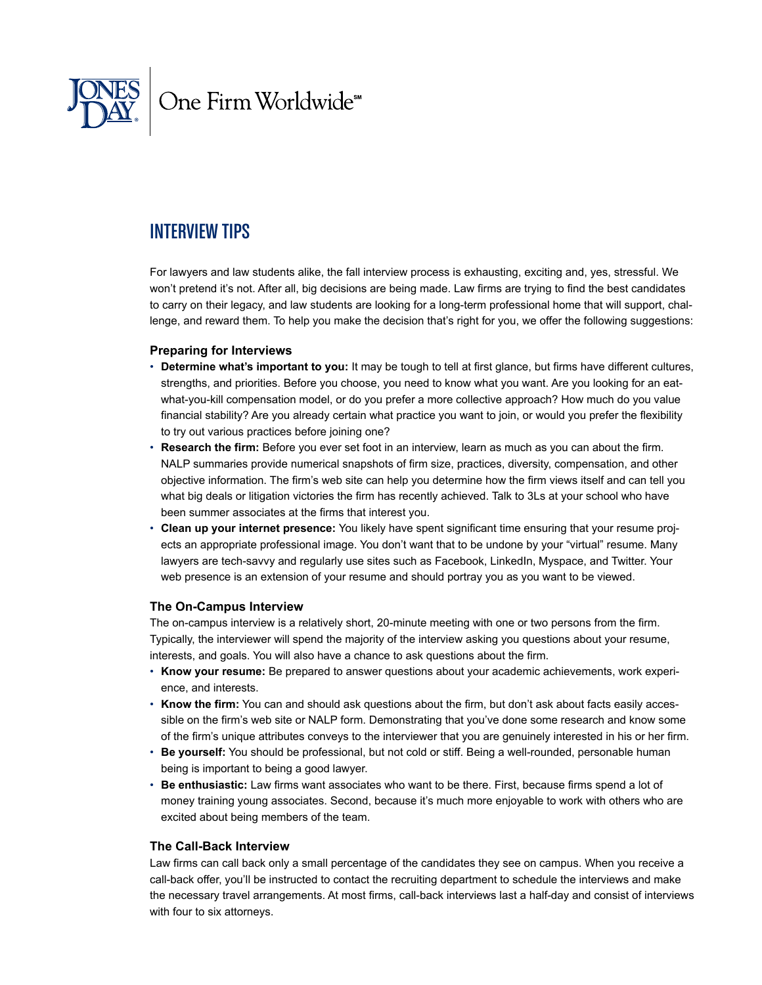

## Interview Tips

For lawyers and law students alike, the fall interview process is exhausting, exciting and, yes, stressful. We won't pretend it's not. After all, big decisions are being made. Law firms are trying to find the best candidates to carry on their legacy, and law students are looking for a long-term professional home that will support, challenge, and reward them. To help you make the decision that's right for you, we offer the following suggestions:

#### **Preparing for Interviews**

- **Determine what's important to you:** It may be tough to tell at first glance, but firms have different cultures, strengths, and priorities. Before you choose, you need to know what you want. Are you looking for an eatwhat-you-kill compensation model, or do you prefer a more collective approach? How much do you value financial stability? Are you already certain what practice you want to join, or would you prefer the flexibility to try out various practices before joining one?
- **Research the firm:** Before you ever set foot in an interview, learn as much as you can about the firm. NALP summaries provide numerical snapshots of firm size, practices, diversity, compensation, and other objective information. The firm's web site can help you determine how the firm views itself and can tell you what big deals or litigation victories the firm has recently achieved. Talk to 3Ls at your school who have been summer associates at the firms that interest you.
- **Clean up your internet presence:** You likely have spent significant time ensuring that your resume projects an appropriate professional image. You don't want that to be undone by your "virtual" resume. Many lawyers are tech-savvy and regularly use sites such as Facebook, LinkedIn, Myspace, and Twitter. Your web presence is an extension of your resume and should portray you as you want to be viewed.

## **The On-Campus Interview**

The on-campus interview is a relatively short, 20-minute meeting with one or two persons from the firm. Typically, the interviewer will spend the majority of the interview asking you questions about your resume, interests, and goals. You will also have a chance to ask questions about the firm.

- **Know your resume:** Be prepared to answer questions about your academic achievements, work experience, and interests.
- **Know the firm:** You can and should ask questions about the firm, but don't ask about facts easily accessible on the firm's web site or NALP form. Demonstrating that you've done some research and know some of the firm's unique attributes conveys to the interviewer that you are genuinely interested in his or her firm.
- **Be yourself:** You should be professional, but not cold or stiff. Being a well-rounded, personable human being is important to being a good lawyer.
- **Be enthusiastic:** Law firms want associates who want to be there. First, because firms spend a lot of money training young associates. Second, because it's much more enjoyable to work with others who are excited about being members of the team.

#### **The Call-Back Interview**

Law firms can call back only a small percentage of the candidates they see on campus. When you receive a call-back offer, you'll be instructed to contact the recruiting department to schedule the interviews and make the necessary travel arrangements. At most firms, call-back interviews last a half-day and consist of interviews with four to six attorneys.